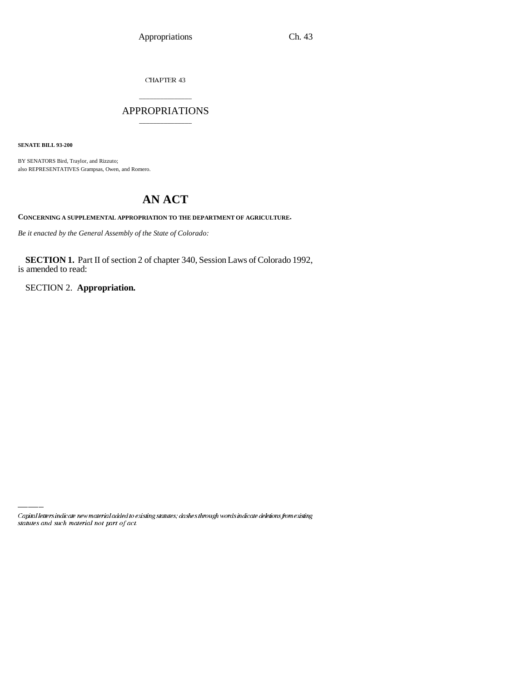CHAPTER 43

# \_\_\_\_\_\_\_\_\_\_\_\_\_\_\_ APPROPRIATIONS \_\_\_\_\_\_\_\_\_\_\_\_\_\_\_

**SENATE BILL 93-200**

BY SENATORS Bird, Traylor, and Rizzuto; also REPRESENTATIVES Grampsas, Owen, and Romero.

# **AN ACT**

**CONCERNING A SUPPLEMENTAL APPROPRIATION TO THE DEPARTMENT OF AGRICULTURE.**

*Be it enacted by the General Assembly of the State of Colorado:*

**SECTION 1.** Part II of section 2 of chapter 340, Session Laws of Colorado 1992, is amended to read:

SECTION 2. **Appropriation.**

Capital letters indicate new material added to existing statutes; dashes through words indicate deletions from existing statutes and such material not part of act.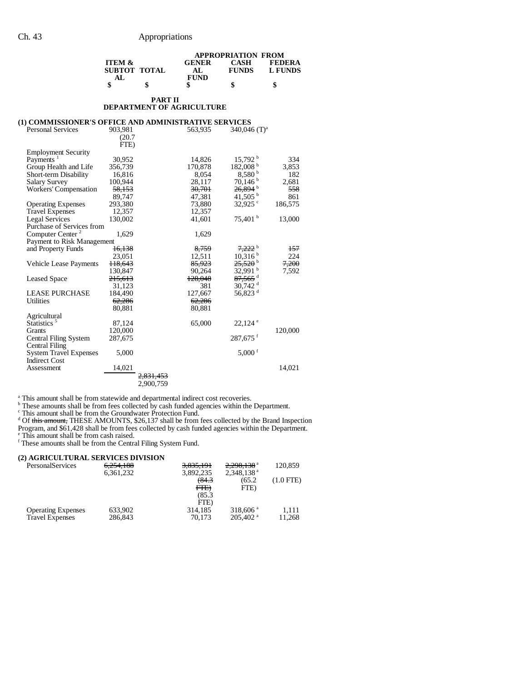|                                                       | <b>APPROPRIATION FROM</b> |                      |                                  |                        |                |
|-------------------------------------------------------|---------------------------|----------------------|----------------------------------|------------------------|----------------|
|                                                       | <b>ITEM &amp;</b>         |                      | <b>GENER</b>                     | <b>CASH</b>            | <b>FEDERA</b>  |
|                                                       | <b>SUBTOT TOTAL</b><br>AL |                      | AL<br><b>FUND</b>                | <b>FUNDS</b>           | <b>L FUNDS</b> |
|                                                       | \$                        | \$                   | \$                               | \$                     | \$             |
|                                                       |                           | <b>PART II</b>       |                                  |                        |                |
|                                                       |                           |                      | <b>DEPARTMENT OF AGRICULTURE</b> |                        |                |
| (1) COMMISSIONER'S OFFICE AND ADMINISTRATIVE SERVICES |                           |                      |                                  |                        |                |
| <b>Personal Services</b>                              | 903,981                   |                      | 563,935                          | 340,046 $(T)^a$        |                |
|                                                       | (20.7)                    |                      |                                  |                        |                |
|                                                       | FTE)                      |                      |                                  |                        |                |
| <b>Employment Security</b>                            |                           |                      |                                  |                        |                |
| Payments <sup>1</sup>                                 | 30,952                    |                      | 14,826                           | 15,792 <sup>b</sup>    | 334            |
| Group Health and Life                                 | 356,739                   |                      | 170,878                          | 182,008 <sup>b</sup>   | 3,853          |
| <b>Short-term Disability</b>                          | 16,816                    |                      | 8,054                            | 8,580 <sup>b</sup>     | 182            |
| <b>Salary Survey</b>                                  | 100,944                   |                      | 28,117                           | 70,146h                | 2,681          |
| <b>Workers' Compensation</b>                          | <del>58,153</del>         |                      | 30,701                           | 26.894 <sup>b</sup>    | 558            |
|                                                       | 89,747                    |                      | 47,381                           | $41,505^{\mathrm{b}}$  | 861            |
| <b>Operating Expenses</b>                             | 293,380                   |                      | 73,880                           | 32,925 $\degree$       | 186,575        |
| <b>Travel Expenses</b>                                | 12,357                    |                      | 12,357                           |                        |                |
| Legal Services<br>Purchase of Services from           | 130,002                   |                      | 41,601                           | 75,401 <sup>b</sup>    | 13,000         |
| Computer Center <sup>2</sup>                          | 1,629                     |                      | 1,629                            |                        |                |
| Payment to Risk Management                            |                           |                      |                                  |                        |                |
| and Property Funds                                    | <del>16,138</del>         |                      | 8,759                            | <del>7.222</del> b     | 157            |
|                                                       | 23,051                    |                      | 12,511                           | 10,316 <sup>b</sup>    | 224            |
| Vehicle Lease Payments                                | <del>118,643</del>        |                      | 85,923                           | $25.520^{\circ}$       | 7,200          |
|                                                       | 130,847                   |                      | 90,264                           | 32,991 b               | 7,592          |
| <b>Leased Space</b>                                   | <del>215.613</del>        |                      | 128,048                          | $87,565$ <sup>d</sup>  |                |
|                                                       | 31,123                    |                      | 381                              | $30,742$ <sup>d</sup>  |                |
| <b>LEASE PURCHASE</b>                                 | 184,490                   |                      | 127,667                          | 56,823 <sup>d</sup>    |                |
| <b>Utilities</b>                                      | 62.286                    |                      | 62,286                           |                        |                |
|                                                       | 80,881                    |                      | 80,881                           |                        |                |
| Agricultural                                          |                           |                      |                                  |                        |                |
| Statistics <sup>5</sup>                               | 87,124                    |                      | 65,000                           | $22,124$ <sup>e</sup>  |                |
| Grants                                                | 120,000                   |                      |                                  |                        | 120,000        |
| Central Filing System                                 | 287,675                   |                      |                                  | $287,675$ <sup>f</sup> |                |
| Central Filing                                        |                           |                      |                                  |                        |                |
| <b>System Travel Expenses</b>                         | 5,000                     |                      |                                  | $5,000$ <sup>f</sup>   |                |
| <b>Indirect Cost</b>                                  |                           |                      |                                  |                        |                |
| Assessment                                            | 14,021                    |                      |                                  |                        | 14,021         |
|                                                       |                           | <del>2,831,453</del> |                                  |                        |                |
|                                                       |                           | 2,900,759            |                                  |                        |                |
|                                                       |                           |                      |                                  |                        |                |

This amount shall be from statewide and departmental indirect cost recoveries.<br>
<sup>h</sup> These amounts shall be from fees collected by cash funded agencies within the Department.<br>
<sup>c</sup> This amount shall be from the Groundwater P Program, and \$61,428 shall be from fees collected by cash funded agencies within the Department. e This amount shall be from cash raised. f These amounts shall be from the Central Filing System Fund.

| (2) AGRICULTURAL SERVICES DIVISION |           |           |                        |           |
|------------------------------------|-----------|-----------|------------------------|-----------|
| <b>PersonalServices</b>            | 6,254,188 | 3,835,191 | 2,298,138 <sup>a</sup> | 120,859   |
|                                    | 6,361,232 | 3,892,235 | 2.348.138 <sup>a</sup> |           |
|                                    |           | 64.3      | (65.2                  | (1.0 FTE) |
|                                    |           | FTE       | FTE)                   |           |
|                                    |           | (85.3)    |                        |           |
|                                    |           | FTE)      |                        |           |
| <b>Operating Expenses</b>          | 633,902   | 314,185   | $318,606$ <sup>a</sup> | 1.111     |
| <b>Travel Expenses</b>             | 286,843   | 70.173    | $205,402$ <sup>a</sup> | 11,268    |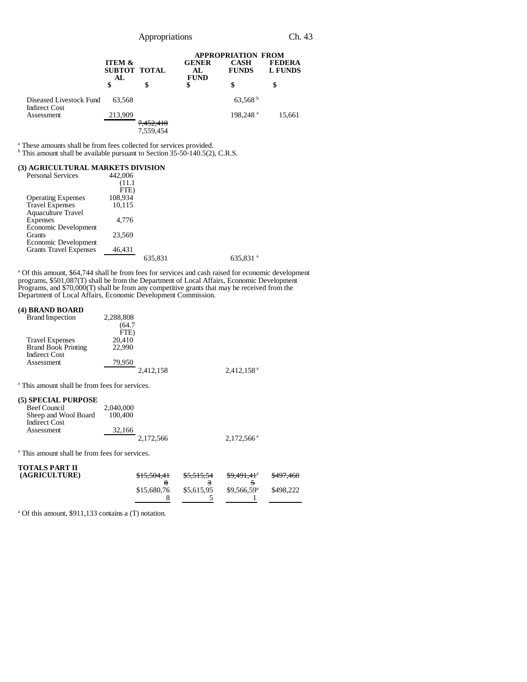|                                                 |                          |                        | <b>APPROPRIATION FROM</b>         |                             |                                 |  |
|-------------------------------------------------|--------------------------|------------------------|-----------------------------------|-----------------------------|---------------------------------|--|
|                                                 | <b>ITEM &amp;</b><br>AL. | SUBTOT TOTAL           | <b>GENER</b><br>AL<br><b>FUND</b> | <b>CASH</b><br><b>FUNDS</b> | <b>FEDERA</b><br><b>L FUNDS</b> |  |
|                                                 | \$                       | \$                     | \$                                | \$                          |                                 |  |
| Diseased Livestock Fund<br><b>Indirect Cost</b> | 63.568                   |                        |                                   | $63,568^{\mathrm{b}}$       |                                 |  |
| Assessment                                      | 213,909                  |                        |                                   | 198.248 <sup>a</sup>        | 15,661                          |  |
|                                                 |                          | 7,452,410<br>7,559,454 |                                   |                             |                                 |  |

<sup>a</sup> These amounts shall be from fees collected for services provided.<br><sup>b</sup> This amount shall be available pursuant to Section 35-50-140.5(2), C.R.S.

#### **(3) AGRICULTURAL MARKETS DIVISION**

| <b>Personal Services</b>      | 442,006 |         |                      |
|-------------------------------|---------|---------|----------------------|
|                               | (11.1   |         |                      |
|                               | FTE)    |         |                      |
| <b>Operating Expenses</b>     | 108,934 |         |                      |
| <b>Travel Expenses</b>        | 10,115  |         |                      |
| <b>Aquaculture Travel</b>     |         |         |                      |
| Expenses                      | 4.776   |         |                      |
| Economic Development          |         |         |                      |
| Grants                        | 23.569  |         |                      |
| Economic Development          |         |         |                      |
| <b>Grants Travel Expenses</b> | 46,431  |         |                      |
|                               |         | 635,831 | 635,831 <sup>a</sup> |
|                               |         |         |                      |

<sup>a</sup> Of this amount, \$64,744 shall be from fees for services and cash raised for economic development programs, \$501,087(T) shall be from the Department of Local Affairs, Economic Development Programs, and \$70,000(T) shall be from any competitive grants that may be received from the Department of Local Affairs, Economic Development Commission.

## **(4) BRAND BOARD**

| <b>Brand Inspection</b>    | 2,288,808 |                          |
|----------------------------|-----------|--------------------------|
|                            | (64.7     |                          |
|                            | FTE)      |                          |
| <b>Travel Expenses</b>     | 20.410    |                          |
| <b>Brand Book Printing</b> | 22,990    |                          |
| <b>Indirect Cost</b>       |           |                          |
| Assessment                 | 79,950    |                          |
|                            | 2,412,158 | $2,412,158$ <sup>a</sup> |

a This amount shall be from fees for services.

## **(5) SPECIAL PURPOSE**

| $\epsilon$ , of events for $\epsilon$ |           |           |                        |
|---------------------------------------|-----------|-----------|------------------------|
| Beef Council                          | 2,040,000 |           |                        |
| Sheep and Wool Board                  | 100,400   |           |                        |
| <b>Indirect Cost</b>                  |           |           |                        |
| Assessment                            | 32.166    |           |                        |
|                                       |           | 2.172.566 | $2.172.566^{\text{a}}$ |
|                                       |           |           |                        |

a This amount shall be from fees for services.

| <b>TOTALS PART II</b><br>(AGRICULTURE) | <del>\$15,504,41</del> | <del>\$5,515,54</del> | <del>\$9,491,41</del> <sup>a</sup> | \$497,460 |
|----------------------------------------|------------------------|-----------------------|------------------------------------|-----------|
|                                        | \$15,680,76            | \$5,615.95            | $$9.566.59^{\circ}$                | \$498,222 |

a Of this amount, \$911,133 contains a (T) notation.